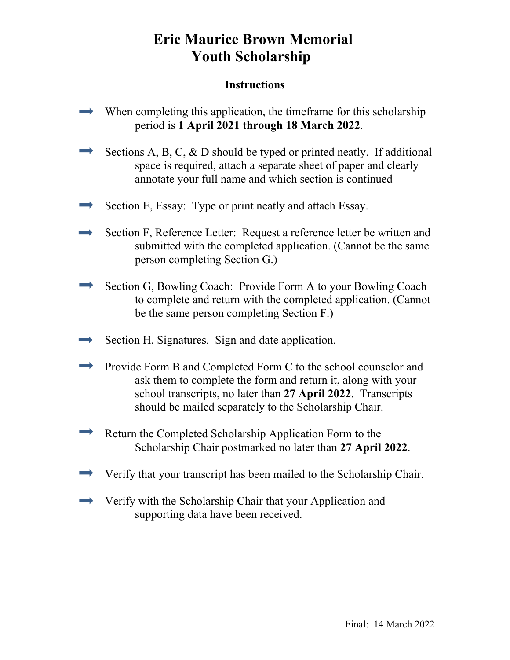# **Eric Maurice Brown Memorial Youth Scholarship**

#### **Instructions**

- When completing this application, the timeframe for this scholarship period is **1 April 2021 through 18 March 2022**. Sections A, B, C, & D should be typed or printed neatly. If additional
- space is required, attach a separate sheet of paper and clearly annotate your full name and which section is continued
- Section E, Essay: Type or print neatly and attach Essay.
- Section F, Reference Letter: Request a reference letter be written and submitted with the completed application. (Cannot be the same person completing Section G.)
- Section G, Bowling Coach: Provide Form A to your Bowling Coach to complete and return with the completed application. (Cannot be the same person completing Section F.)
- Section H, Signatures. Sign and date application.
- Provide Form B and Completed Form C to the school counselor and  $\rightarrow$ ask them to complete the form and return it, along with your school transcripts, no later than **27 April 2022**. Transcripts should be mailed separately to the Scholarship Chair.
- Return the Completed Scholarship Application Form to the Scholarship Chair postmarked no later than **27 April 2022**.
- Verify that your transcript has been mailed to the Scholarship Chair.
- $\rightarrow$  Verify with the Scholarship Chair that your Application and supporting data have been received.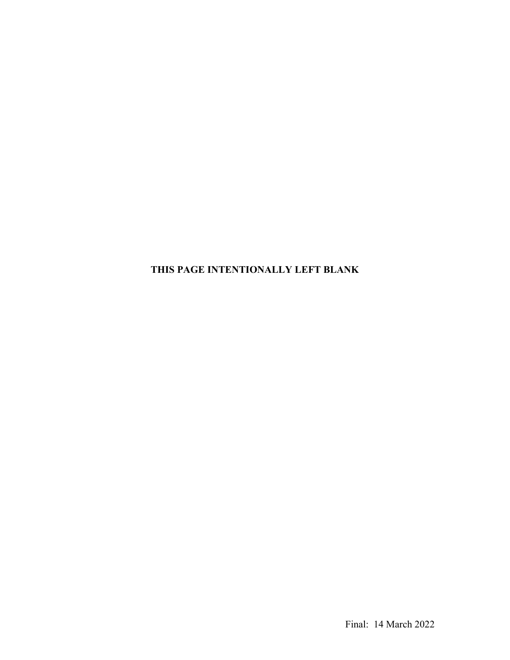**THIS PAGE INTENTIONALLY LEFT BLANK**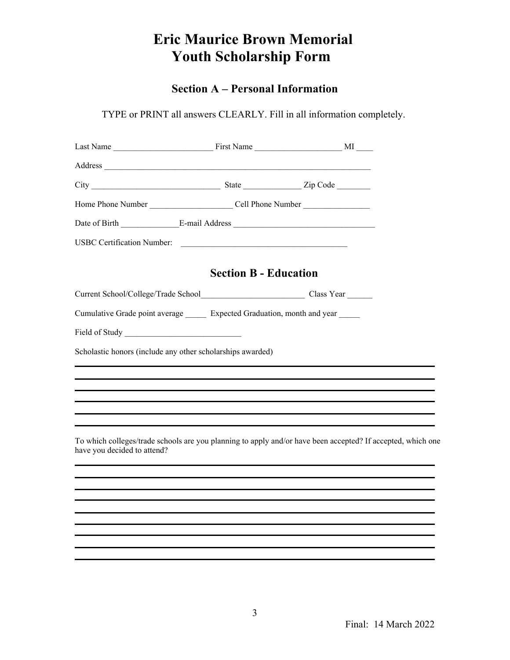# **Eric Maurice Brown Memorial Youth Scholarship Form**

### **Section A – Personal Information**

TYPE or PRINT all answers CLEARLY. Fill in all information completely.

| Home Phone Number<br>Cell Phone Number                                           |                                                    |                                                                                                                                                                      |  |
|----------------------------------------------------------------------------------|----------------------------------------------------|----------------------------------------------------------------------------------------------------------------------------------------------------------------------|--|
|                                                                                  |                                                    |                                                                                                                                                                      |  |
|                                                                                  |                                                    |                                                                                                                                                                      |  |
|                                                                                  | <b>Section B - Education</b>                       |                                                                                                                                                                      |  |
|                                                                                  |                                                    |                                                                                                                                                                      |  |
| Cumulative Grade point average _______ Expected Graduation, month and year _____ |                                                    |                                                                                                                                                                      |  |
|                                                                                  |                                                    |                                                                                                                                                                      |  |
| Scholastic honors (include any other scholarships awarded)                       |                                                    |                                                                                                                                                                      |  |
|                                                                                  | <u> 1989 - Johann Barn, amerikansk politiker (</u> |                                                                                                                                                                      |  |
|                                                                                  |                                                    | ,我们也不会有什么。""我们的人,我们也不会有什么?""我们的人,我们也不会有什么?""我们的人,我们也不会有什么?""我们的人,我们也不会有什么?""我们的人                                                                                     |  |
|                                                                                  |                                                    | ,我们也不会有什么。""我们的人,我们也不会有什么?""我们的人,我们也不会有什么?""我们的人,我们也不会有什么?""我们的人,我们也不会有什么?""我们的人<br>,我们也不会有什么。""我们的人,我们也不会有什么?""我们的人,我们也不会有什么?""我们的人,我们也不会有什么?""我们的人,我们也不会有什么?""我们的人 |  |
|                                                                                  |                                                    | and the control of the control of the control of the control of the control of the control of the control of the                                                     |  |
| have you decided to attend?                                                      |                                                    | To which colleges/trade schools are you planning to apply and/or have been accepted? If accepted, which one                                                          |  |
|                                                                                  |                                                    |                                                                                                                                                                      |  |
|                                                                                  |                                                    |                                                                                                                                                                      |  |
|                                                                                  |                                                    |                                                                                                                                                                      |  |
|                                                                                  |                                                    |                                                                                                                                                                      |  |
|                                                                                  |                                                    | ,我们也不会有什么。""我们的人,我们也不会有什么?""我们的人,我们也不会有什么?""我们的人,我们也不会有什么?""我们的人,我们也不会有什么?""我们的人                                                                                     |  |
|                                                                                  |                                                    |                                                                                                                                                                      |  |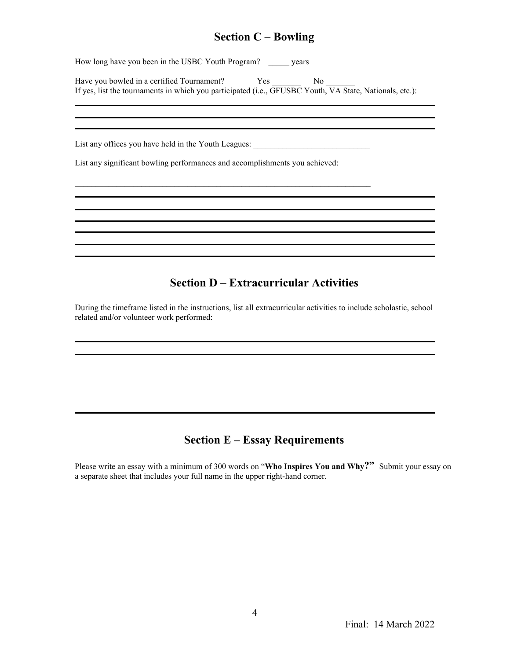#### **Section C – Bowling**

How long have you been in the USBC Youth Program? years

Have you bowled in a certified Tournament? Yes No If yes, list the tournaments in which you participated (i.e., GFUSBC Youth, VA State, Nationals, etc.):

List any offices you have held in the Youth Leagues: \_\_\_\_\_\_\_\_\_\_\_\_\_\_\_\_\_\_\_\_\_\_\_\_\_\_\_

List any significant bowling performances and accomplishments you achieved:

#### **Section D – Extracurricular Activities**

 $\mathcal{L}_\text{max}$  , and the contribution of the contribution of the contribution of the contribution of the contribution of the contribution of the contribution of the contribution of the contribution of the contribution of t

During the timeframe listed in the instructions, list all extracurricular activities to include scholastic, school related and/or volunteer work performed:

#### **Section E – Essay Requirements**

Please write an essay with a minimum of 300 words on "**Who Inspires You and Why?"** Submit your essay on a separate sheet that includes your full name in the upper right-hand corner.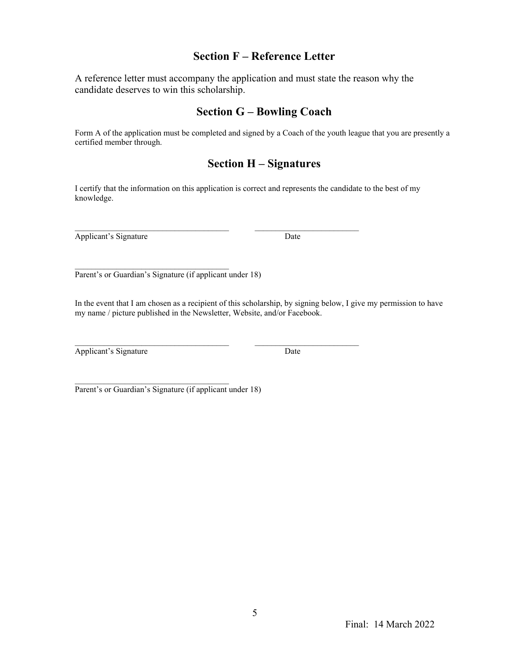#### **Section F – Reference Letter**

A reference letter must accompany the application and must state the reason why the candidate deserves to win this scholarship.

#### **Section G – Bowling Coach**

Form A of the application must be completed and signed by a Coach of the youth league that you are presently a certified member through.

#### **Section H – Signatures**

I certify that the information on this application is correct and represents the candidate to the best of my knowledge. \_\_\_\_\_\_\_\_\_\_\_\_\_\_\_\_\_\_\_\_\_\_\_\_\_\_\_\_\_\_\_\_\_\_\_\_\_ \_\_\_\_\_\_\_\_\_\_\_\_\_\_\_\_\_\_\_\_\_\_\_\_\_

Applicant's Signature Date

Parent's or Guardian's Signature (if applicant under 18)

 $\mathcal{L}_\text{max}$  and  $\mathcal{L}_\text{max}$  and  $\mathcal{L}_\text{max}$  and  $\mathcal{L}_\text{max}$  and  $\mathcal{L}_\text{max}$ 

In the event that I am chosen as a recipient of this scholarship, by signing below, I give my permission to have my name / picture published in the Newsletter, Website, and/or Facebook.

Applicant's Signature Date

 $\mathcal{L}_\text{max}$  and  $\mathcal{L}_\text{max}$  and  $\mathcal{L}_\text{max}$  and  $\mathcal{L}_\text{max}$  and  $\mathcal{L}_\text{max}$ Parent's or Guardian's Signature (if applicant under 18)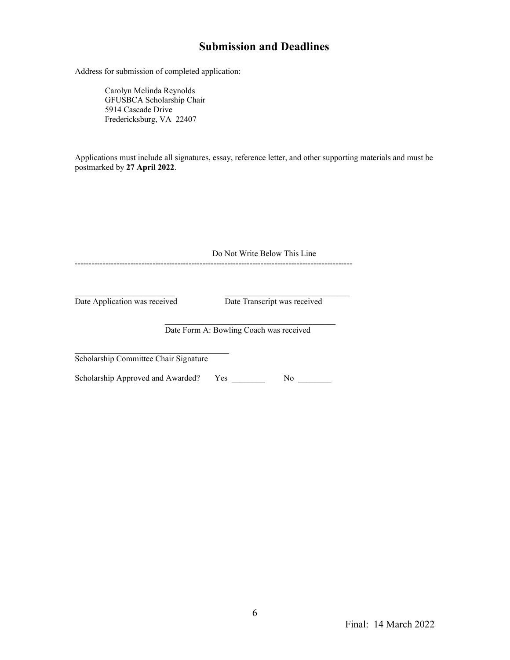#### **Submission and Deadlines**

Address for submission of completed application:

Carolyn Melinda Reynolds GFUSBCA Scholarship Chair 5914 Cascade Drive Fredericksburg, VA 22407

Applications must include all signatures, essay, reference letter, and other supporting materials and must be postmarked by 27 April 2022.

| postmarked by 27 April 2022.  |                                         |  |
|-------------------------------|-----------------------------------------|--|
|                               |                                         |  |
|                               |                                         |  |
|                               |                                         |  |
|                               |                                         |  |
|                               |                                         |  |
|                               | Do Not Write Below This Line            |  |
|                               |                                         |  |
|                               |                                         |  |
| Date Application was received | Date Transcript was received            |  |
|                               |                                         |  |
|                               | Date Form A: Bowling Coach was received |  |
|                               |                                         |  |

Scholarship Committee Chair Signature

Scholarship Approved and Awarded? Yes \_\_\_\_\_\_\_\_\_ No \_\_\_\_\_\_\_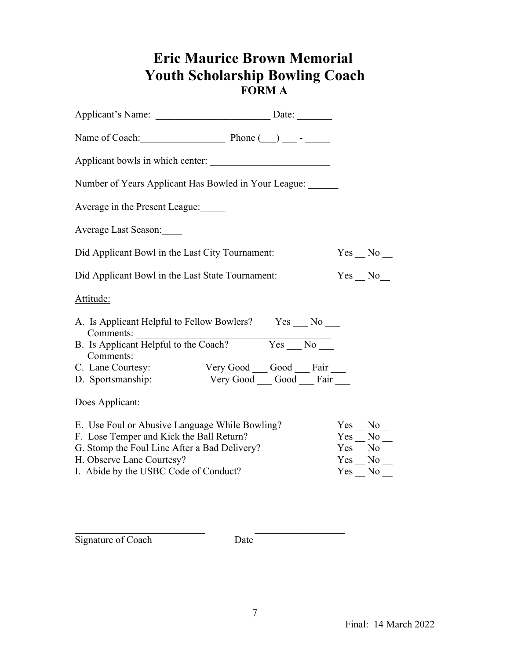## **Eric Maurice Brown Memorial Youth Scholarship Bowling Coach FORM A**

| Applicant bowls in which center:                                     |        |                |  |
|----------------------------------------------------------------------|--------|----------------|--|
| Number of Years Applicant Has Bowled in Your League:                 |        |                |  |
| Average in the Present League:                                       |        |                |  |
| Average Last Season:                                                 |        |                |  |
| Did Applicant Bowl in the Last City Tournament:                      |        | $Yes$ No $\_\$ |  |
| Did Applicant Bowl in the Last State Tournament:                     | Yes No |                |  |
| Attitude:                                                            |        |                |  |
| A. Is Applicant Helpful to Fellow Bowlers? Yes __ No __<br>Comments: |        |                |  |
| B. Is Applicant Helpful to the Coach? Yes No No<br>Comments:         |        |                |  |
| C. Lane Courtesy: Very Good Good Fair                                |        |                |  |
| D. Sportsmanship:<br>Very Good __ Good __ Fair __                    |        |                |  |
| Does Applicant:                                                      |        |                |  |
| E. Use Foul or Abusive Language While Bowling?                       | Yes No |                |  |
| F. Lose Temper and Kick the Ball Return?                             |        | $Yes$ No $\_\$ |  |
| G. Stomp the Foul Line After a Bad Delivery?                         |        | $Yes$ No $\_\$ |  |
| H. Observe Lane Courtesy?<br>I. Abide by the USBC Code of Conduct?   | Yes No | Yes No         |  |
|                                                                      |        |                |  |

 $\mathcal{L}_\text{max}$  , and the contract of the contract of the contract of the contract of the contract of the contract of the contract of the contract of the contract of the contract of the contract of the contract of the contr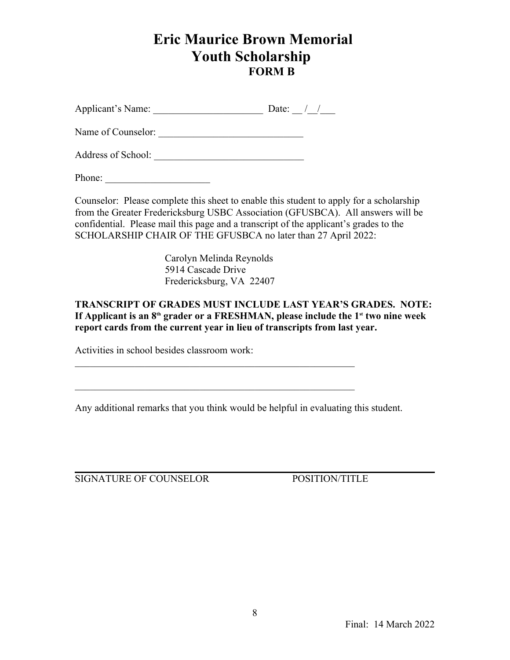### **Eric Maurice Brown Memorial Youth Scholarship FORM B**

Applicant's Name: \_\_\_\_\_\_\_\_\_\_\_\_\_\_\_\_\_\_\_\_\_\_ Date: \_\_ /\_\_/\_\_\_

Name of Counselor: \_\_\_\_\_\_\_\_\_\_\_\_\_\_\_\_\_\_\_\_\_\_\_\_\_\_\_\_\_

Address of School: \_\_\_\_\_\_\_\_\_\_\_\_\_\_\_\_\_\_\_\_\_\_\_\_\_\_\_\_\_\_

Phone:

Counselor: Please complete this sheet to enable this student to apply for a scholarship from the Greater Fredericksburg USBC Association (GFUSBCA). All answers will be confidential. Please mail this page and a transcript of the applicant's grades to the SCHOLARSHIP CHAIR OF THE GFUSBCA no later than 27 April 2022:

> Carolyn Melinda Reynolds 5914 Cascade Drive Fredericksburg, VA 22407

#### **TRANSCRIPT OF GRADES MUST INCLUDE LAST YEAR'S GRADES. NOTE: If Applicant is an 8th grader or a FRESHMAN, please include the 1st two nine week report cards from the current year in lieu of transcripts from last year.**

 $\mathcal{L}_\text{max}$  , and the contribution of the contribution of the contribution of the contribution of the contribution of the contribution of the contribution of the contribution of the contribution of the contribution of t

Activities in school besides classroom work:

Any additional remarks that you think would be helpful in evaluating this student.

SIGNATURE OF COUNSELOR POSITION/TITLE